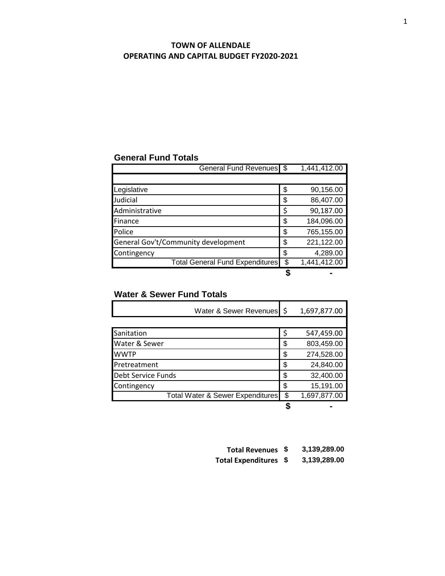## **TOWN OF ALLENDALE OPERATING AND CAPITAL BUDGET FY2020-2021**

## **General Fund Totals**

| General Fund Revenues \$               |    | 1,441,412.00 |
|----------------------------------------|----|--------------|
|                                        |    |              |
| Legislative                            | \$ | 90,156.00    |
| Judicial                               | \$ | 86,407.00    |
| Administrative                         | \$ | 90,187.00    |
| Finance                                | \$ | 184,096.00   |
| Police                                 | \$ | 765,155.00   |
| General Gov't/Community development    | \$ | 221,122.00   |
| Contingency                            | \$ | 4,289.00     |
| <b>Total General Fund Expenditures</b> | \$ | 1,441,412.00 |
|                                        |    |              |

## **Water & Sewer Fund Totals**

| Water & Sewer Revenues \$        |   | 1,697,877.00 |
|----------------------------------|---|--------------|
|                                  |   |              |
| Sanitation                       | Ś | 547,459.00   |
| Water & Sewer                    | S | 803,459.00   |
| <b>WWTP</b>                      | Φ | 274,528.00   |
| Pretreatment                     | S | 24,840.00    |
| Debt Service Funds               | S | 32,400.00    |
| Contingency                      |   | 15,191.00    |
| Total Water & Sewer Expenditures | S | 1,697,877.00 |
|                                  |   |              |

| Total Revenues \$     | 3,139,289.00 |
|-----------------------|--------------|
| Total Expenditures \$ | 3,139,289.00 |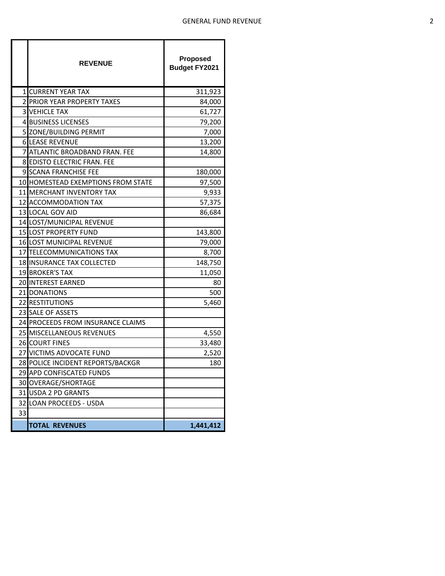|    | <b>REVENUE</b>                     | <b>Proposed</b><br><b>Budget FY2021</b> |
|----|------------------------------------|-----------------------------------------|
|    | <b>1 CURRENT YEAR TAX</b>          | 311,923                                 |
|    | <b>2 PRIOR YEAR PROPERTY TAXES</b> | 84,000                                  |
|    | <b>3 VEHICLE TAX</b>               | 61,727                                  |
|    | <b>4 BUSINESS LICENSES</b>         | 79,200                                  |
|    | 5 ZONE/BUILDING PERMIT             | 7,000                                   |
|    | <b>6 LEASE REVENUE</b>             | 13,200                                  |
|    | 7 ATLANTIC BROADBAND FRAN. FEE     | 14,800                                  |
|    | 8 EDISTO ELECTRIC FRAN. FEE        |                                         |
|    | 9 SCANA FRANCHISE FEE              | 180,000                                 |
|    | 10 HOMESTEAD EXEMPTIONS FROM STATE | 97,500                                  |
|    | 11 MERCHANT INVENTORY TAX          | 9,933                                   |
|    | 12 ACCOMMODATION TAX               | 57,375                                  |
|    | 13 LOCAL GOV AID                   | 86,684                                  |
|    | 14 LOST/MUNICIPAL REVENUE          |                                         |
|    | <b>15 LOST PROPERTY FUND</b>       | 143,800                                 |
|    | <b>16 LOST MUNICIPAL REVENUE</b>   | 79,000                                  |
|    | 17 TELECOMMUNICATIONS TAX          | 8,700                                   |
|    | <b>18 INSURANCE TAX COLLECTED</b>  | 148,750                                 |
|    | 19 BROKER'S TAX                    | 11,050                                  |
|    | <b>20 INTEREST EARNED</b>          | 80                                      |
|    | 21 DONATIONS                       | 500                                     |
|    | 22 RESTITUTIONS                    | 5,460                                   |
|    | 23 SALE OF ASSETS                  |                                         |
|    | 24 PROCEEDS FROM INSURANCE CLAIMS  |                                         |
|    | 25 MISCELLANEOUS REVENUES          | 4,550                                   |
|    | 26 COURT FINES                     | 33,480                                  |
|    | 27 VICTIMS ADVOCATE FUND           | 2,520                                   |
|    | 28 POLICE INCIDENT REPORTS/BACKGR  | 180                                     |
|    | 29 APD CONFISCATED FUNDS           |                                         |
|    | 30 OVERAGE/SHORTAGE                |                                         |
|    | 31 USDA 2 PD GRANTS                |                                         |
|    | 32 LOAN PROCEEDS - USDA            |                                         |
| 33 |                                    |                                         |
|    | <b>TOTAL REVENUES</b>              | 1,441,412                               |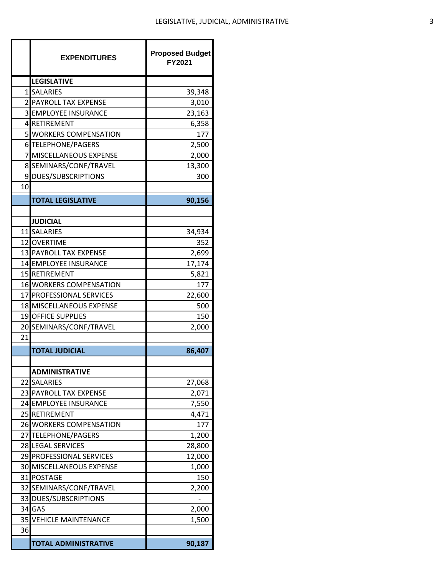|    | <b>EXPENDITURES</b>                                         | <b>Proposed Budget</b><br>FY2021 |
|----|-------------------------------------------------------------|----------------------------------|
|    | <b>LEGISLATIVE</b>                                          |                                  |
|    | 1 SALARIES                                                  | 39,348                           |
|    | 2 PAYROLL TAX EXPENSE                                       | 3,010                            |
|    | <b>3 EMPLOYEE INSURANCE</b>                                 | 23,163                           |
|    | 4 RETIREMENT                                                | 6,358                            |
|    | 5 WORKERS COMPENSATION                                      | 177                              |
|    | 6 TELEPHONE/PAGERS                                          | 2,500                            |
|    | 7 MISCELLANEOUS EXPENSE                                     | 2,000                            |
|    | 8 SEMINARS/CONF/TRAVEL                                      | 13,300                           |
|    | 9 DUES/SUBSCRIPTIONS                                        | 300                              |
| 10 |                                                             |                                  |
|    | <b>TOTAL LEGISLATIVE</b>                                    | 90,156                           |
|    |                                                             |                                  |
|    | <b>JUDICIAL</b>                                             |                                  |
|    | 11 SALARIES                                                 | 34,934                           |
|    | 12 OVERTIME                                                 | 352                              |
|    | 13 PAYROLL TAX EXPENSE                                      | 2,699                            |
|    | 14 EMPLOYEE INSURANCE                                       | 17,174                           |
|    | 15 RETIREMENT                                               | 5,821                            |
|    | <b>16 WORKERS COMPENSATION</b>                              | 177                              |
|    | 17 PROFESSIONAL SERVICES<br><b>18 MISCELLANEOUS EXPENSE</b> | 22,600                           |
|    | 19 OFFICE SUPPLIES                                          | 500<br>150                       |
|    | 20 SEMINARS/CONF/TRAVEL                                     | 2,000                            |
| 21 |                                                             |                                  |
|    | <b>TOTAL JUDICIAL</b>                                       |                                  |
|    |                                                             | 86,407                           |
|    | <b>ADMINISTRATIVE</b>                                       |                                  |
|    | 22 SALARIES                                                 | 27,068                           |
|    | 23 PAYROLL TAX EXPENSE                                      | 2,071                            |
|    | 24 EMPLOYEE INSURANCE                                       | 7,550                            |
|    | 25 RETIREMENT                                               | 4,471                            |
|    | 26 WORKERS COMPENSATION                                     | 177                              |
|    | 27 TELEPHONE/PAGERS                                         | 1,200                            |
|    | 28 LEGAL SERVICES                                           | 28,800                           |
|    | 29 PROFESSIONAL SERVICES                                    | 12,000                           |
|    | <b>30 MISCELLANEOUS EXPENSE</b>                             | 1,000                            |
|    | 31 POSTAGE                                                  | 150                              |
|    | 32 SEMINARS/CONF/TRAVEL                                     | 2,200                            |
|    | 33 DUES/SUBSCRIPTIONS                                       |                                  |
|    | 34 GAS                                                      | 2,000                            |
|    | <b>35 VEHICLE MAINTENANCE</b>                               | 1,500                            |
| 36 |                                                             |                                  |
|    | <b>TOTAL ADMINISTRATIVE</b>                                 | 90,187                           |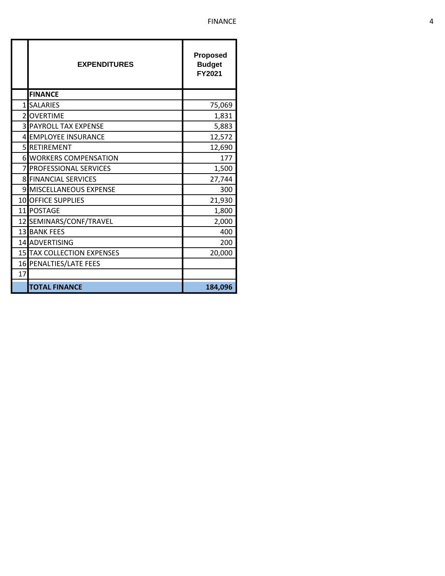|    | <b>EXPENDITURES</b>               | <b>Proposed</b><br><b>Budget</b><br>FY2021 |
|----|-----------------------------------|--------------------------------------------|
|    | <b>FINANCE</b>                    |                                            |
|    | 1 SALARIES                        | 75,069                                     |
|    | 2OVERTIME                         | 1,831                                      |
|    | <b>3 PAYROLL TAX EXPENSE</b>      | 5,883                                      |
|    | 4 EMPLOYEE INSURANCE              | 12,572                                     |
|    | <b>5 RETIREMENT</b>               | 12,690                                     |
|    | <b>6 WORKERS COMPENSATION</b>     | 177                                        |
| 7  | <b>PROFESSIONAL SERVICES</b>      | 1,500                                      |
|    | <b>8 FINANCIAL SERVICES</b>       | 27,744                                     |
|    | 9 MISCELLANEOUS EXPENSE           | 300                                        |
|    | 10 OFFICE SUPPLIES                | 21,930                                     |
|    | 11 POSTAGE                        | 1,800                                      |
|    | 12 SEMINARS/CONF/TRAVEL           | 2,000                                      |
|    | <b>13 BANK FEES</b>               | 400                                        |
|    | 14 ADVERTISING                    | 200                                        |
|    | <b>15 TAX COLLECTION EXPENSES</b> | 20,000                                     |
|    | 16 PENALTIES/LATE FEES            |                                            |
| 17 |                                   |                                            |
|    | <b>TOTAL FINANCE</b>              | 184,096                                    |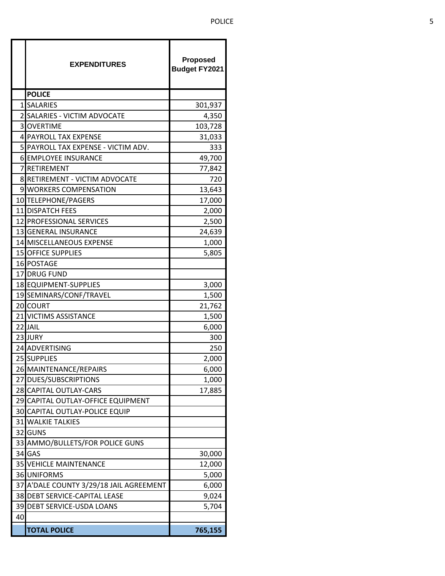|    | <b>EXPENDITURES</b>                     | Proposed<br><b>Budget FY2021</b> |
|----|-----------------------------------------|----------------------------------|
|    | <b>POLICE</b>                           |                                  |
|    | 1SALARIES                               | 301,937                          |
| 2  | SALARIES - VICTIM ADVOCATE              | 4,350                            |
|    | <b>3OVERTIME</b>                        | 103,728                          |
|    | 4 PAYROLL TAX EXPENSE                   | 31,033                           |
|    | 5 PAYROLL TAX EXPENSE - VICTIM ADV.     | 333                              |
|    | <b>6 EMPLOYEE INSURANCE</b>             | 49,700                           |
| 7  | <b>RETIREMENT</b>                       | 77,842                           |
|    | 8 RETIREMENT - VICTIM ADVOCATE          | 720                              |
|    | 9 WORKERS COMPENSATION                  | 13,643                           |
|    | 10 TELEPHONE/PAGERS                     | 17,000                           |
|    | 11 DISPATCH FEES                        | 2,000                            |
|    | 12 PROFESSIONAL SERVICES                | 2,500                            |
|    | 13 GENERAL INSURANCE                    | 24,639                           |
|    | 14 MISCELLANEOUS EXPENSE                | 1,000                            |
|    | <b>15 OFFICE SUPPLIES</b>               | 5,805                            |
|    | 16 POSTAGE                              |                                  |
|    | 17 DRUG FUND                            |                                  |
|    | 18 EQUIPMENT-SUPPLIES                   | 3,000                            |
|    | 19 SEMINARS/CONF/TRAVEL                 | 1,500                            |
|    | 20 COURT                                | 21,762                           |
|    | 21 VICTIMS ASSISTANCE                   | 1,500                            |
|    | 22 JAIL                                 | 6,000                            |
|    | 23 JURY                                 | 300                              |
|    | 24 ADVERTISING                          | 250                              |
|    | 25 SUPPLIES                             | 2,000                            |
|    | 26 MAINTENANCE/REPAIRS                  | 6,000                            |
|    | 27 DUES/SUBSCRIPTIONS                   | 1,000                            |
|    | 28 CAPITAL OUTLAY-CARS                  | 17,885                           |
|    | 29 CAPITAL OUTLAY-OFFICE EQUIPMENT      |                                  |
|    | 30 CAPITAL OUTLAY-POLICE EQUIP          |                                  |
|    | <b>31 WALKIE TALKIES</b>                |                                  |
|    | 32 GUNS                                 |                                  |
|    | 33 AMMO/BULLETS/FOR POLICE GUNS         |                                  |
|    | 34 GAS                                  | 30,000                           |
|    | <b>35 VEHICLE MAINTENANCE</b>           | 12,000                           |
|    | <b>36 UNIFORMS</b>                      | 5,000                            |
|    | 37 A'DALE COUNTY 3/29/18 JAIL AGREEMENT | 6,000                            |
|    | 38 DEBT SERVICE-CAPITAL LEASE           | 9,024                            |
|    | 39 DEBT SERVICE-USDA LOANS              | 5,704                            |
| 40 |                                         |                                  |
|    | <b>TOTAL POLICE</b>                     | 765,155                          |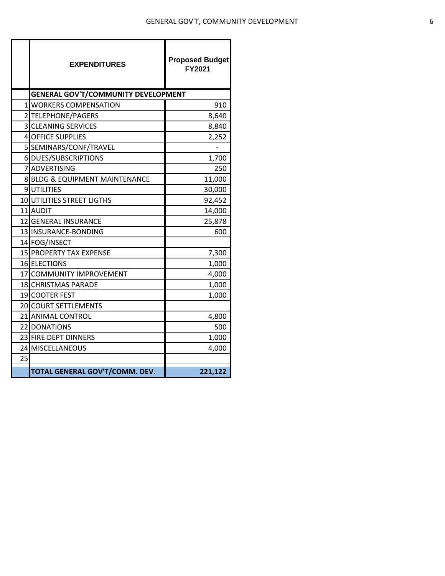|    | <b>EXPENDITURES</b>                        | <b>Proposed Budget</b><br>FY2021 |
|----|--------------------------------------------|----------------------------------|
|    | <b>GENERAL GOV'T/COMMUNITY DEVELOPMENT</b> |                                  |
|    | 1 WORKERS COMPENSATION                     | 910                              |
|    | 2 TELEPHONE/PAGERS                         | 8,640                            |
|    | <b>3 CLEANING SERVICES</b>                 | 8,840                            |
|    | 4 OFFICE SUPPLIES                          | 2,252                            |
|    | 5 SEMINARS/CONF/TRAVEL                     |                                  |
|    | 6 DUES/SUBSCRIPTIONS                       | 1,700                            |
|    | 7 ADVERTISING                              | 250                              |
|    | 8 BLDG & EQUIPMENT MAINTENANCE             | 11,000                           |
|    | 9UTILITIES                                 | 30,000                           |
|    | <b>10 UTILITIES STREET LIGTHS</b>          | 92,452                           |
|    | 11 AUDIT                                   | 14,000                           |
|    | 12 GENERAL INSURANCE                       | 25,878                           |
|    | 13 INSURANCE-BONDING                       | 600                              |
|    | 14 FOG/INSECT                              |                                  |
|    | 15 PROPERTY TAX EXPENSE                    | 7,300                            |
|    | <b>16 ELECTIONS</b>                        | 1,000                            |
|    | 17 COMMUNITY IMPROVEMENT                   | 4,000                            |
|    | 18 CHRISTMAS PARADE                        | 1,000                            |
|    | 19 COOTER FEST                             | 1,000                            |
|    | 20 COURT SETTLEMENTS                       |                                  |
|    | 21 ANIMAL CONTROL                          | 4,800                            |
|    | 22 DONATIONS                               | 500                              |
|    | 23 FIRE DEPT DINNERS                       | 1,000                            |
|    | 24 MISCELLANEOUS                           | 4,000                            |
| 25 |                                            |                                  |
|    | TOTAL GENERAL GOV'T/COMM. DEV.             | 221,122                          |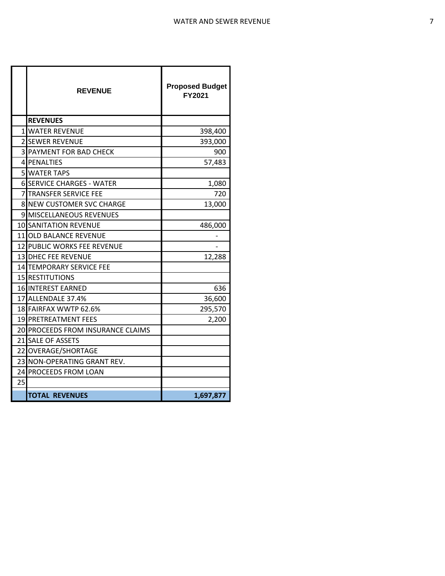|    | <b>REVENUE</b>                    | <b>Proposed Budget</b><br>FY2021 |
|----|-----------------------------------|----------------------------------|
|    | <b>REVENUES</b>                   |                                  |
| 11 | <b>WATER REVENUE</b>              | 398,400                          |
|    | <b>2 ISEWER REVENUE</b>           | 393,000                          |
| 31 | <b>PAYMENT FOR BAD CHECK</b>      | 900                              |
|    | <b>4 PENALTIES</b>                | 57,483                           |
|    | <b>5 WATER TAPS</b>               |                                  |
|    | <b>6 SERVICE CHARGES - WATER</b>  | 1,080                            |
| 71 | <b>TRANSFER SERVICE FEE</b>       | 720                              |
|    | 8 NEW CUSTOMER SVC CHARGE         | 13,000                           |
|    | 9 MISCELLANEOUS REVENUES          |                                  |
|    | <b>10 SANITATION REVENUE</b>      | 486,000                          |
|    | 11 OLD BALANCE REVENUE            |                                  |
|    | 12 PUBLIC WORKS FEE REVENUE       |                                  |
|    | 13 DHEC FEE REVENUE               | 12,288                           |
|    | 14 TEMPORARY SERVICE FEE          |                                  |
|    | 15 RESTITUTIONS                   |                                  |
|    | <b>16 INTEREST EARNED</b>         | 636                              |
|    | 17 ALLENDALE 37.4%                | 36,600                           |
|    | 18 FAIRFAX WWTP 62.6%             | 295,570                          |
|    | <b>19 PRETREATMENT FEES</b>       | 2,200                            |
|    | 20 PROCEEDS FROM INSURANCE CLAIMS |                                  |
|    | 21 SALE OF ASSETS                 |                                  |
|    | 22 OVERAGE/SHORTAGE               |                                  |
|    | 23 NON-OPERATING GRANT REV.       |                                  |
|    | 24 PROCEEDS FROM LOAN             |                                  |
| 25 |                                   |                                  |
|    | <b>TOTAL REVENUES</b>             | 1,697,877                        |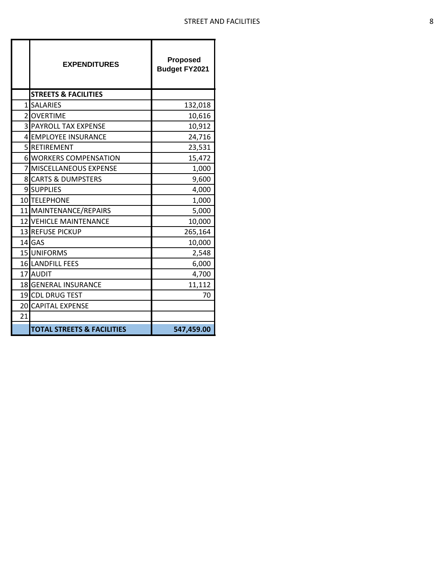|    | <b>EXPENDITURES</b>                   | <b>Proposed</b><br><b>Budget FY2021</b> |
|----|---------------------------------------|-----------------------------------------|
|    | <b>STREETS &amp; FACILITIES</b>       |                                         |
|    | 1 SALARIES                            | 132,018                                 |
|    | 2 OVERTIME                            | 10,616                                  |
|    | <b>3 PAYROLL TAX EXPENSE</b>          | 10,912                                  |
|    | 4 EMPLOYEE INSURANCE                  | 24,716                                  |
|    | 5 RETIREMENT                          | 23,531                                  |
|    | <b>6 WORKERS COMPENSATION</b>         | 15,472                                  |
|    | 7 MISCELLANEOUS EXPENSE               | 1,000                                   |
|    | <b>8 CARTS &amp; DUMPSTERS</b>        | 9,600                                   |
|    | 9 SUPPLIES                            | 4,000                                   |
|    | 10 TELEPHONE                          | 1,000                                   |
|    | 11 MAINTENANCE/REPAIRS                | 5,000                                   |
|    | <b>12 VEHICLE MAINTENANCE</b>         | 10,000                                  |
|    | 13 REFUSE PICKUP                      | 265,164                                 |
|    | 14 GAS                                | 10,000                                  |
|    | 15 UNIFORMS                           | 2,548                                   |
|    | 16 LANDFILL FEES                      | 6,000                                   |
|    | 17 AUDIT                              | 4,700                                   |
|    | 18 GENERAL INSURANCE                  | 11,112                                  |
|    | 19 CDL DRUG TEST                      | 70                                      |
|    | 20 CAPITAL EXPENSE                    |                                         |
| 21 |                                       |                                         |
|    | <b>TOTAL STREETS &amp; FACILITIES</b> | 547,459.00                              |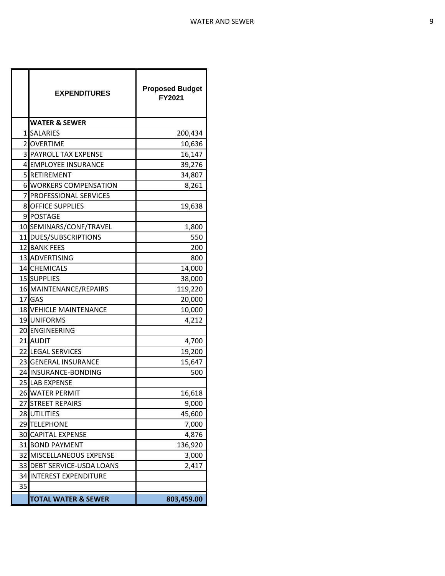|                | <b>EXPENDITURES</b>            | <b>Proposed Budget</b><br>FY2021 |
|----------------|--------------------------------|----------------------------------|
|                | <b>WATER &amp; SEWER</b>       |                                  |
|                | 1 SALARIES                     | 200,434                          |
| $\overline{2}$ | <b>OVERTIME</b>                | 10,636                           |
| 31             | <b>PAYROLL TAX EXPENSE</b>     | 16,147                           |
|                | 4 EMPLOYEE INSURANCE           | 39,276                           |
| 5              | RETIREMENT                     | 34,807                           |
|                | <b>6 WORKERS COMPENSATION</b>  | 8,261                            |
| 7              | <b>PROFESSIONAL SERVICES</b>   |                                  |
| 8              | <b>OFFICE SUPPLIES</b>         | 19,638                           |
|                | 9 POSTAGE                      |                                  |
|                | 10 SEMINARS/CONF/TRAVEL        | 1,800                            |
|                | 11 DUES/SUBSCRIPTIONS          | 550                              |
|                | 12 BANK FEES                   | 200                              |
|                | 13 ADVERTISING                 | 800                              |
|                | 14 CHEMICALS                   | 14,000                           |
|                | 15 SUPPLIES                    | 38,000                           |
|                | 16 MAINTENANCE/REPAIRS         | 119,220                          |
|                | 17 GAS                         | 20,000                           |
|                | <b>18 VEHICLE MAINTENANCE</b>  | 10,000                           |
|                | 19 UNIFORMS                    | 4,212                            |
|                | 20 ENGINEERING                 |                                  |
|                | 21 AUDIT                       | 4,700                            |
|                | 22 LEGAL SERVICES              | 19,200                           |
|                | 23 GENERAL INSURANCE           | 15,647                           |
|                | 24 INSURANCE-BONDING           | 500                              |
|                | 25 LAB EXPENSE                 |                                  |
|                | 26 WATER PERMIT                | 16,618                           |
| 27             | <b>STREET REPAIRS</b>          | 9,000                            |
| 28             | <b>UTILITIES</b>               | 45,600                           |
| 29             | <b>TELEPHONE</b>               | 7,000                            |
| 30             | <b>CAPITAL EXPENSE</b>         | 4,876                            |
| 31             | <b>BOND PAYMENT</b>            | 136,920                          |
| 32             | MISCELLANEOUS EXPENSE          | 3,000                            |
| 33             | <b>DEBT SERVICE-USDA LOANS</b> | 2,417                            |
| 34             | <b>INTEREST EXPENDITURE</b>    |                                  |
| 35             |                                |                                  |
|                | <b>TOTAL WATER &amp; SEWER</b> | 803,459.00                       |